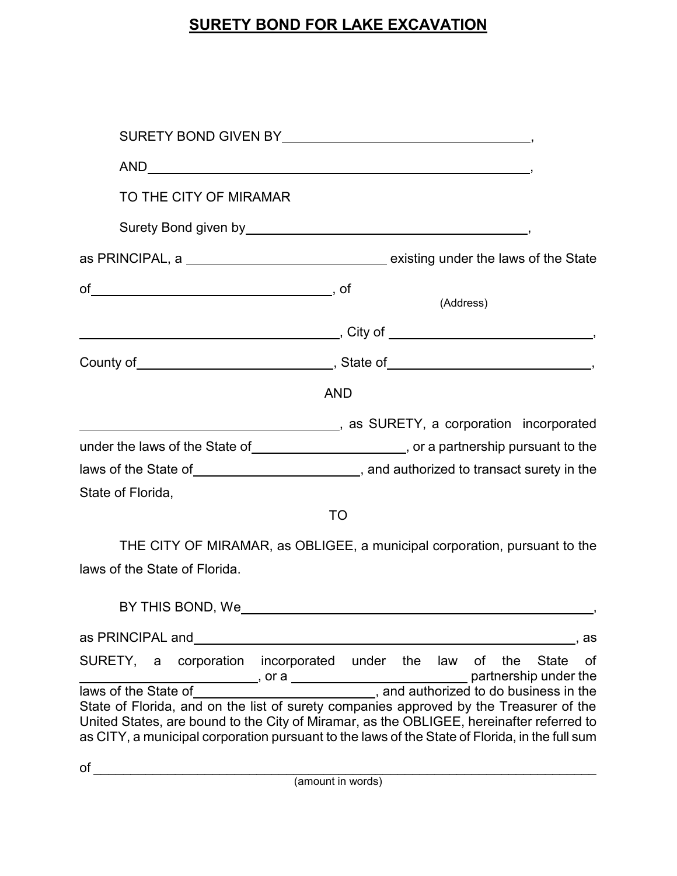## **SURETY BOND FOR LAKE EXCAVATION**

| $\begin{minipage}[c]{0.9\linewidth} \textbf{AND} \textcolor{red}{\textbf{Output}} \end{minipage} \begin{minipage}[c]{0.9\linewidth} \textbf{AND} \end{minipage} \begin{minipage}[c]{0.9\linewidth} \textbf{AND} \end{minipage} \begin{minipage}[c]{0.9\linewidth} \textbf{AND} \end{minipage} \begin{minipage}[c]{0.9\linewidth} \textbf{AND} \end{minipage} \begin{minipage}[c]{0.9\linewidth} \textbf{Day} \end{minipage} \begin{minipage}[c]{0.9\linewidth} \textbf{Day} \end{minipage} \begin{minipage}[c]{0.9$ |              |                  |                                                                                                                                |
|---------------------------------------------------------------------------------------------------------------------------------------------------------------------------------------------------------------------------------------------------------------------------------------------------------------------------------------------------------------------------------------------------------------------------------------------------------------------------------------------------------------------|--------------|------------------|--------------------------------------------------------------------------------------------------------------------------------|
| TO THE CITY OF MIRAMAR                                                                                                                                                                                                                                                                                                                                                                                                                                                                                              |              |                  |                                                                                                                                |
|                                                                                                                                                                                                                                                                                                                                                                                                                                                                                                                     |              |                  |                                                                                                                                |
|                                                                                                                                                                                                                                                                                                                                                                                                                                                                                                                     |              |                  |                                                                                                                                |
|                                                                                                                                                                                                                                                                                                                                                                                                                                                                                                                     |              |                  | (Address)                                                                                                                      |
|                                                                                                                                                                                                                                                                                                                                                                                                                                                                                                                     |              |                  |                                                                                                                                |
|                                                                                                                                                                                                                                                                                                                                                                                                                                                                                                                     |              |                  |                                                                                                                                |
| <b>AND</b>                                                                                                                                                                                                                                                                                                                                                                                                                                                                                                          |              |                  |                                                                                                                                |
|                                                                                                                                                                                                                                                                                                                                                                                                                                                                                                                     |              |                  |                                                                                                                                |
| under the laws of the State of ______________________, or a partnership pursuant to the                                                                                                                                                                                                                                                                                                                                                                                                                             |              |                  |                                                                                                                                |
| laws of the State of _____________________________, and authorized to transact surety in the                                                                                                                                                                                                                                                                                                                                                                                                                        |              |                  |                                                                                                                                |
| State of Florida,                                                                                                                                                                                                                                                                                                                                                                                                                                                                                                   |              |                  |                                                                                                                                |
|                                                                                                                                                                                                                                                                                                                                                                                                                                                                                                                     | <b>TO</b>    |                  |                                                                                                                                |
| THE CITY OF MIRAMAR, as OBLIGEE, a municipal corporation, pursuant to the                                                                                                                                                                                                                                                                                                                                                                                                                                           |              |                  |                                                                                                                                |
| laws of the State of Florida.                                                                                                                                                                                                                                                                                                                                                                                                                                                                                       |              |                  |                                                                                                                                |
|                                                                                                                                                                                                                                                                                                                                                                                                                                                                                                                     |              |                  |                                                                                                                                |
| as PRINCIPAL and                                                                                                                                                                                                                                                                                                                                                                                                                                                                                                    |              |                  | as                                                                                                                             |
| SURETY, a<br>corporation                                                                                                                                                                                                                                                                                                                                                                                                                                                                                            | incorporated | under the<br>law | the<br><b>State</b><br>of<br>οf<br>partnership under the                                                                       |
| laws of the State of<br>State of Florida, and on the list of surety companies approved by the Treasurer of the<br>United States, are bound to the City of Miramar, as the OBLIGEE, hereinafter referred to<br>as CITY, a municipal corporation pursuant to the laws of the State of Florida, in the full sum                                                                                                                                                                                                        |              |                  | _, or a _________________________________ partnership under the<br>_____________________, and authorized to do business in the |

of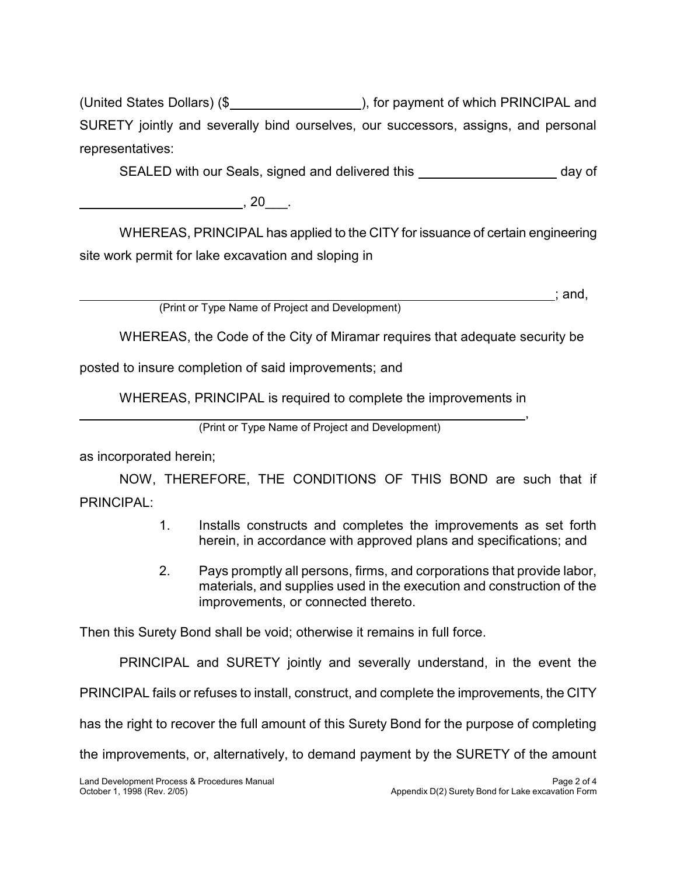$($ \$ SURETY jointly and severally bind ourselves, our successors, assigns, and personal United States Dollars) (\$<br>  $\frac{1}{2}$  United States Dollars) (\$<br>
SURETY pinty and aeverally bind ourselves, our successors, assigns, and personal<br>  $\frac{20}{1}$  -  $\frac{1}{2}$ <br>  $\frac{1}{2}$  WHEREAS, PRINCIPAL has applied to the CIT representatives:

SEALED with our Seals, signed and delivered this \_\_\_\_\_\_\_\_\_\_\_\_\_\_\_\_\_\_\_\_ day of

 $\overline{\phantom{a}}$ , 20  $\overline{\phantom{a}}$ .

WHEREAS, PRINCIPAL has applied to the CITY for issuance of certain engineering site work permit for lake excavation and sloping in

(Print or Type Name of Project and Development)  $\mathcal{L}$ ; and,

WHEREAS, the Code of the City of Miramar requires that adequate security be

posted to insure completion of said improvements; and

WHEREAS, PRINCIPAL is required to complete the improvements in

(Print or Type Name of Project and Development)

as incorporated herein;

 $\overline{a}$ 

 $\overline{a}$ 

 $\overline{a}$ 

 NOW, THEREFORE, THE CONDITIONS OF THIS BOND are such that if PRINCIPAL:

- herein, in accordance with approved plans and specifications; and 1. Installs constructs and completes the improvements as set forth
- 2. Pays promptly all persons, firms, and corporations that provide labor, materials, and supplies used in the execution and construction of the Y jointly and severally bind ourselves, our successors, assigns, and persentatives:<br>  $\frac{1}{2}$  and the section with our Seals, signed and delivered this and the CITY for issuance of certain enginees<br>  $\frac{1}{2}$  and  $\frac{1}{2}$ improvements, or connected thereto.

Then this Surety Bond shall be void; otherwise it remains in full force.

PRINCIPAL and SURETY jointly and severally understand, in the event the

PRINCIPAL fails or refuses to install, construct, and complete the improvements, the CITY

has the right to recover the full amount of this Surety Bond for the purpose of completing

the improvements, or, alternatively, to demand payment by the SURETY of the amount

,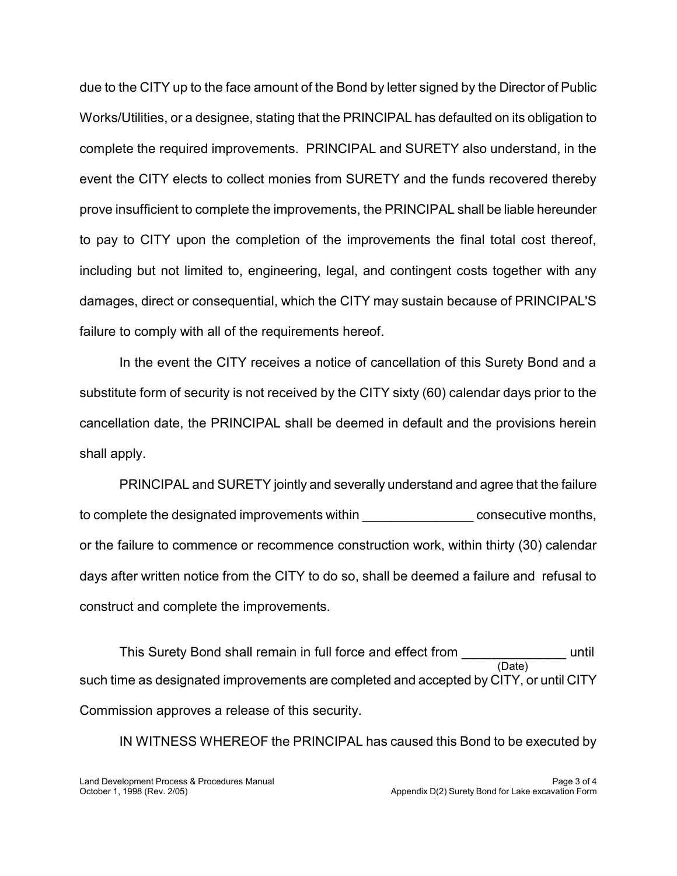due to the CITY up to the face amount of the Bond by letter signed by the Director of Public Works/Utilities, or a designee, stating that the PRINCIPAL has defaulted on its obligation to complete the required improvements. PRINCIPAL and SURETY also understand, in the event the CITY elects to collect monies from SURETY and the funds recovered thereby prove insufficient to complete the improvements, the PRINCIPAL shall be liable hereunder to pay to CITY upon the completion of the improvements the final total cost thereof, including but not limited to, engineering, legal, and contingent costs together with any damages, direct or consequential, which the CITY may sustain because of PRINCIPAL'S ie to the CITY up to the face amount of the Bond by letter signed by the Director of Pu<br>
forks/Utilities, or a designee, stating that the PRINCIPAL has defaulted on its obligatio<br>
mylete the required improvements. PRINCIPA due to the CITY up to the face amount of the Bond by letter signed by the Director of Public<br>Works/Utilities, or a designee, stating that the PRINCIPAL has defaulted on its obligation to<br>complete the required improvements. failure to comply with all of the requirements hereof.

 In the event the CITY receives a notice of cancellation of this Surety Bond and a substitute form of security is not received by the CITY sixty (60) calendar days prior to the cancellation date, the PRINCIPAL shall be deemed in default and the provisions herein shall apply.

PRINCIPAL and SURETY jointly and severally understand and agree that the failure to complete the designated improvements within \_\_\_\_\_\_\_\_\_\_\_\_\_\_\_\_\_\_ consecutive months, or the failure to commence or recommence construction work, within thirty (30) calendar days after written notice from the CITY to do so, shall be deemed a failure and refusal to construct and complete the improvements.

 such time as designated improvements are completed and accepted by CITY, or until CITY This Surety Bond shall remain in full force and effect from (Date) until Commission approves a release of this security.  $\overline{\phantom{a}}$ 

IN WITNESS WHEREOF the PRINCIPAL has caused this Bond to be executed by